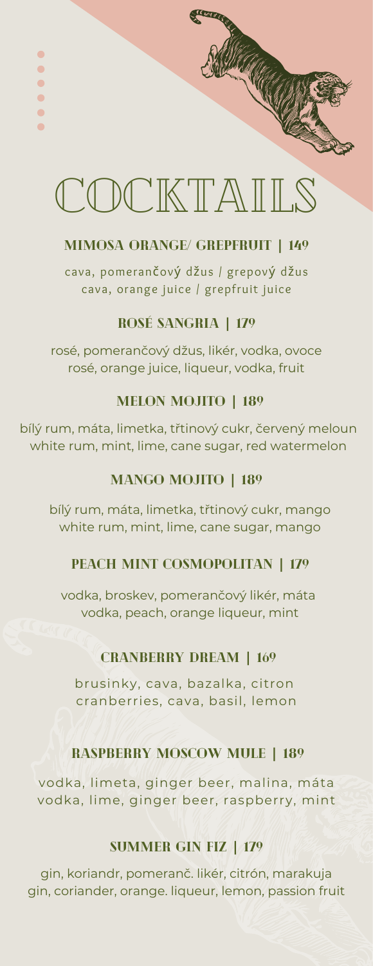# COCKTAILS

**ANGERICAN CONTROLLER** 

Ŏ

 $\bullet$  $\bullet$ Ċ  $\bullet$ ò

# MIMOSA orange/ grepfruit **|** 149

cava, pomerančový džus / grepový džus cava, orange juice / grepfruit juice

# rosé sangria **|** 179

rosé, pomerančový džus, likér, vodka, ovoce rosé, orange juice, liqueur, vodka, fruit

# melon mojito **|** 189

bílý rum, máta, limetka, třtinový cukr, červený meloun white rum, mint, lime, cane sugar, red watermelon

# mango mojito **|** 189

bílý rum, máta, limetka, třtinový cukr, mango white rum, mint, lime, cane sugar, mango

# peach mint cosmopolitan **|** 179

vodka, broskev, pomerančový likér, máta vodka, peach, orange liqueur, mint

# CRANBERRY DREAM **|** 169

brusinky, cava, bazalka, citron cranberries, cava, basil, lemon

# Raspberry moscow mule **|** 189

vodka, limeta, ginger beer, malina, máta vodka, lime, ginger beer, raspberry, mint

#### SUMMER GIN FIZ **|** 179

gin, koriandr, [pomeranč.](https://cs.wikipedia.org/wiki/Tequila#Druhy_tequily) likér, citrón, marakuja gin, coriander, orange. liqueur, lemon, passion fruit